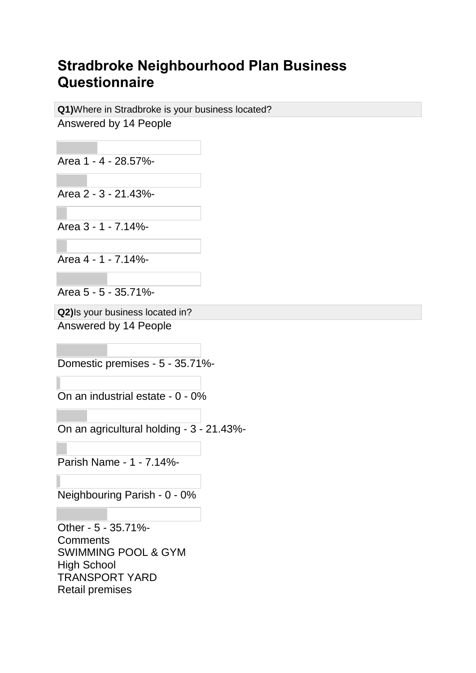## **Stradbroke Neighbourhood Plan Business Questionnaire**

**Q1)**Where in Stradbroke is your business located? Answered by 14 People

Area 1 - 4 - 28.57%-

Area 2 - 3 - 21.43%-

Area 3 - 1 - 7.14%-

Area 4 - 1 - 7.14%-

Area 5 - 5 - 35.71%-

**Q2)**Is your business located in? Answered by 14 People

Domestic premises - 5 - 35.71%-

On an industrial estate - 0 - 0%

On an agricultural holding - 3 - 21.43%-

Parish Name - 1 - 7.14%-

Neighbouring Parish - 0 - 0%

Other - 5 - 35.71%- **Comments** SWIMMING POOL & GYM High School TRANSPORT YARD Retail premises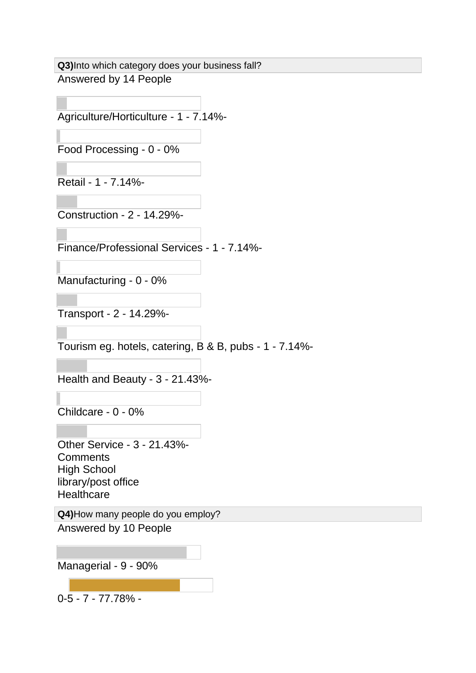**Q3)**Into which category does your business fall? Answered by 14 People

Agriculture/Horticulture - 1 - 7.14%-

Food Processing - 0 - 0%

Retail - 1 - 7.14%-

Construction - 2 - 14.29%-

Finance/Professional Services - 1 - 7.14%-

Manufacturing - 0 - 0%

Transport - 2 - 14.29%-

Tourism eg. hotels, catering, B & B, pubs - 1 - 7.14%-

Health and Beauty - 3 - 21.43%-

Childcare - 0 - 0%

Other Service - 3 - 21.43%- **Comments** High School library/post office **Healthcare** 

**Q4)**How many people do you employ? Answered by 10 People

Managerial - 9 - 90%

0-5 - 7 - 77.78% -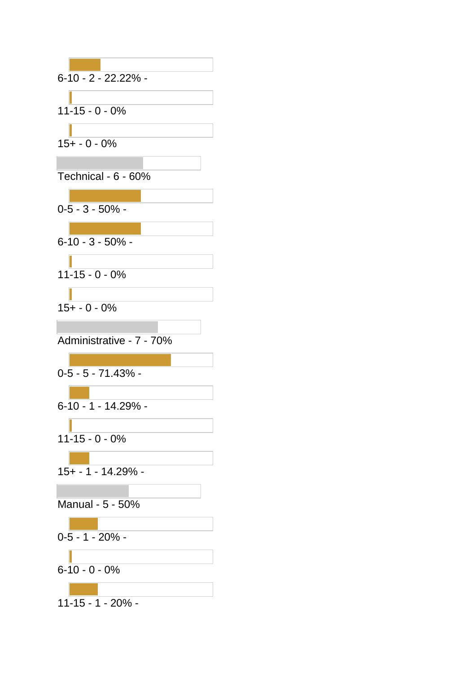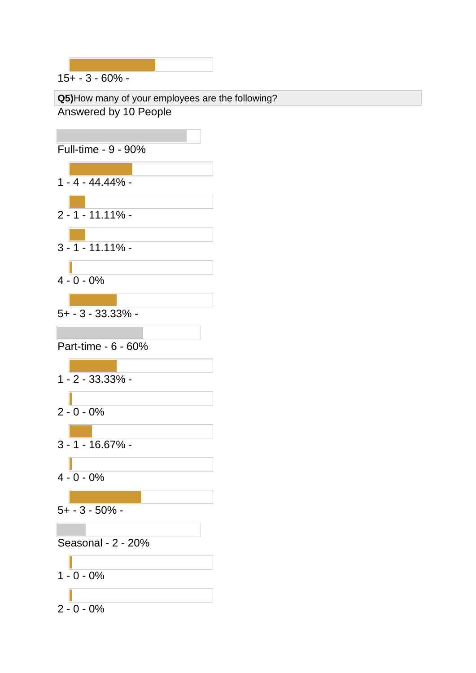15+ - 3 - 60% -

**Q5)**How many of your employees are the following? Answered by 10 People

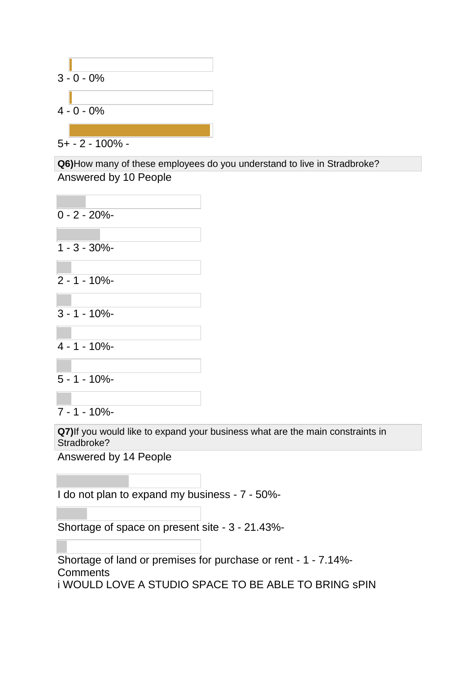

5+ - 2 - 100% -

**Q6)**How many of these employees do you understand to live in Stradbroke? Answered by 10 People

| $0 - 2 - 20%$         |                                                                                |
|-----------------------|--------------------------------------------------------------------------------|
| $1 - 3 - 30\%$        |                                                                                |
| $2 - 1 - 10\%$        |                                                                                |
|                       |                                                                                |
| $3 - 1 - 10\%$        |                                                                                |
| $4 - 1 - 10%$         |                                                                                |
| $5 - 1 - 10\%$        |                                                                                |
| $7 - 1 - 10\%$        |                                                                                |
| Stradbroke?           | Q7) If you would like to expand your business what are the main constraints in |
| Answered by 14 People |                                                                                |

I do not plan to expand my business - 7 - 50%-

Shortage of space on present site - 3 - 21.43%-

Shortage of land or premises for purchase or rent - 1 - 7.14%- **Comments** i WOULD LOVE A STUDIO SPACE TO BE ABLE TO BRING sPIN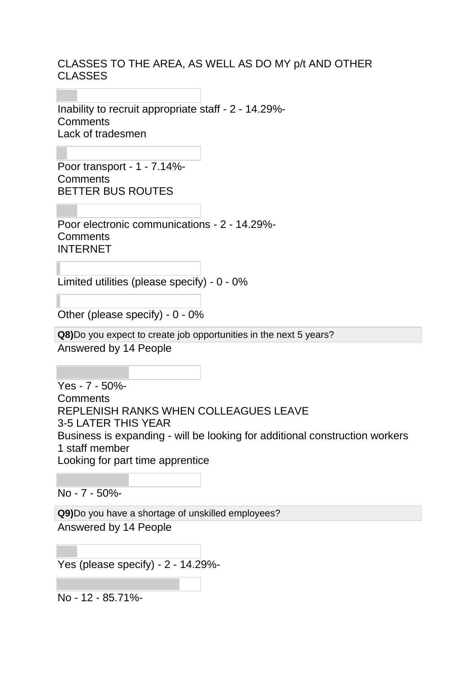## CLASSES TO THE AREA, AS WELL AS DO MY p/t AND OTHER CLASSES

Inability to recruit appropriate staff - 2 - 14.29%- **Comments** Lack of tradesmen

Poor transport - 1 - 7.14%- **Comments** BETTER BUS ROUTES

Poor electronic communications - 2 - 14.29%- **Comments** INTERNET

Limited utilities (please specify) - 0 - 0%

Other (please specify) - 0 - 0%

**Q8)**Do you expect to create job opportunities in the next 5 years?

Answered by 14 People

Yes - 7 - 50%- **Comments** REPLENISH RANKS WHEN COLLEAGUES LEAVE 3-5 LATER THIS YEAR Business is expanding - will be looking for additional construction workers 1 staff member Looking for part time apprentice

No - 7 - 50%-

**Q9)**Do you have a shortage of unskilled employees? Answered by 14 People

Yes (please specify) - 2 - 14.29%-

No - 12 - 85.71%-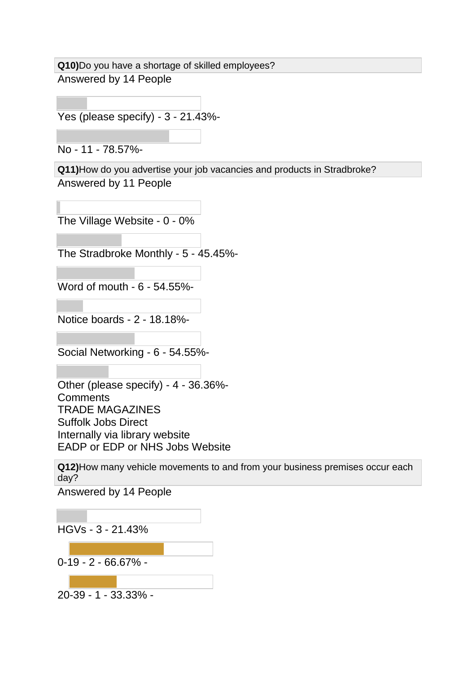**Q10)**Do you have a shortage of skilled employees? Answered by 14 People

Yes (please specify) - 3 - 21.43%-

No - 11 - 78.57%-

**Q11)**How do you advertise your job vacancies and products in Stradbroke? Answered by 11 People

The Village Website - 0 - 0%

The Stradbroke Monthly - 5 - 45.45%-

Word of mouth - 6 - 54.55%-

Notice boards - 2 - 18.18%-

Social Networking - 6 - 54.55%-

Other (please specify) - 4 - 36.36%- **Comments** TRADE MAGAZINES Suffolk Jobs Direct Internally via library website EADP or EDP or NHS Jobs Website

**Q12)**How many vehicle movements to and from your business premises occur each day?

Answered by 14 People

HGVs - 3 - 21.43%

0-19 - 2 - 66.67% -

20-39 - 1 - 33.33% -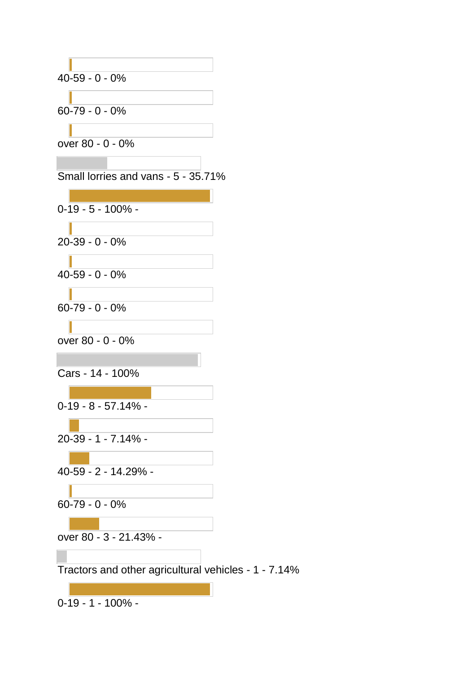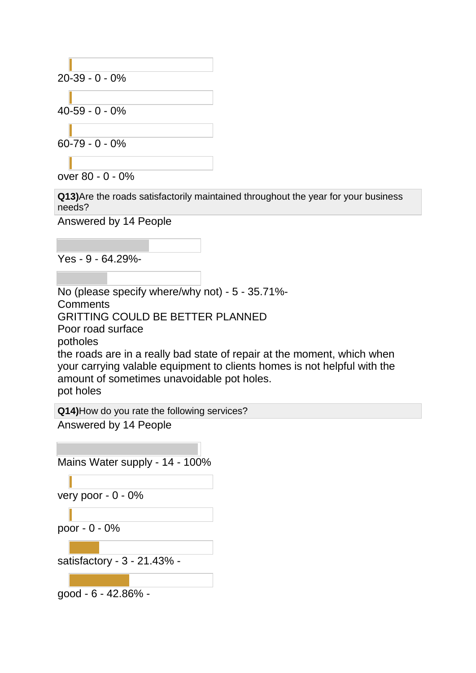

over 80 - 0 - 0%

**Q13)**Are the roads satisfactorily maintained throughout the year for your business needs?

Answered by 14 People

Yes - 9 - 64.29%-

No (please specify where/why not) - 5 - 35.71%- **Comments** GRITTING COULD BE BETTER PLANNED Poor road surface potholes the roads are in a really bad state of repair at the moment, which when your carrying valable equipment to clients homes is not helpful with the amount of sometimes unavoidable pot holes. pot holes

**Q14)**How do you rate the following services?

Answered by 14 People

Mains Water supply - 14 - 100%

very poor - 0 - 0%

poor - 0 - 0%

satisfactory - 3 - 21.43% -

good - 6 - 42.86% -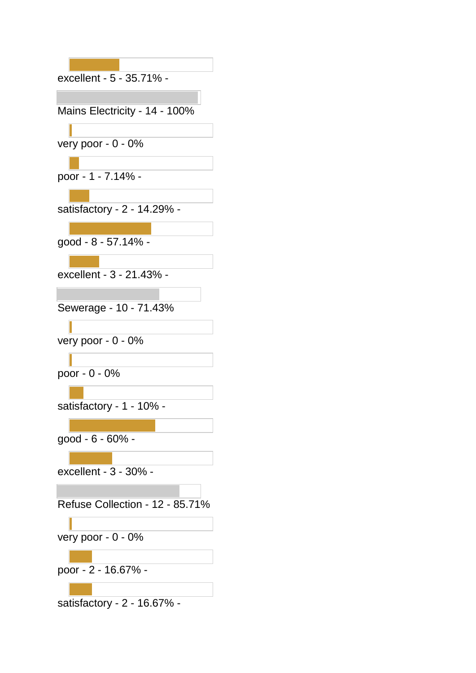| excellent - 5 - 35.71% -        |
|---------------------------------|
|                                 |
| Mains Electricity - 14 - 100%   |
|                                 |
| very poor - 0 - 0%              |
|                                 |
| poor - 1 - 7.14% -              |
|                                 |
| satisfactory - 2 - 14.29% -     |
|                                 |
| good - 8 - 57.14% -             |
|                                 |
| excellent - 3 - 21.43%          |
|                                 |
| Sewerage - 10 - 71.43%          |
|                                 |
| very poor - 0 - 0%              |
|                                 |
| poor - 0 - 0%                   |
|                                 |
| satisfactory - 1 - 10% -        |
| good - 6 - 60% -                |
|                                 |
| excellent - 3 - 30% -           |
|                                 |
| Refuse Collection - 12 - 85.71% |
|                                 |
| very poor - 0 - 0%              |
|                                 |
| poor - 2 - 16.67% -             |
|                                 |
| satisfactory - 2 - 16.67% -     |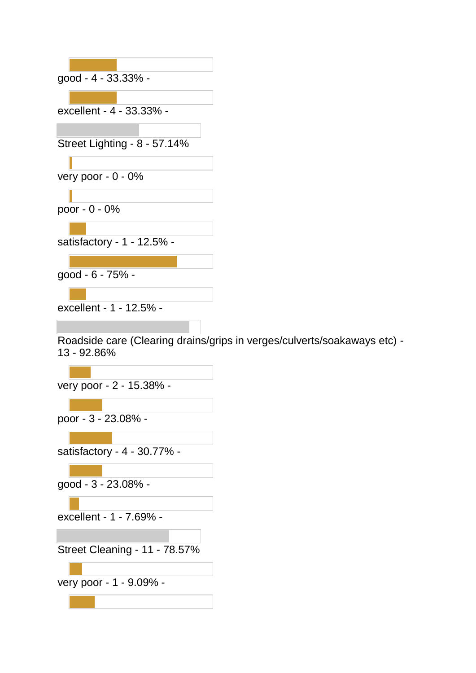| good - 4 - 33.33% -                                                                     |
|-----------------------------------------------------------------------------------------|
|                                                                                         |
| excellent - 4 - 33.33% -                                                                |
|                                                                                         |
| Street Lighting - 8 - 57.14%                                                            |
|                                                                                         |
| very poor - $0 - 0\%$                                                                   |
|                                                                                         |
| poor - 0 - 0%                                                                           |
|                                                                                         |
| satisfactory - 1 - 12.5% -                                                              |
|                                                                                         |
| good - 6 - 75% -                                                                        |
|                                                                                         |
| excellent - 1 - 12.5% -                                                                 |
|                                                                                         |
| Roadside care (Clearing drains/grips in verges/culverts/soakaways etc) -<br>13 - 92.86% |
|                                                                                         |
| very poor - 2 - 15.38% -                                                                |
|                                                                                         |
| poor - 3 - 23.08% -                                                                     |
|                                                                                         |
| satisfactory - 4 - 30.77% -                                                             |
|                                                                                         |
| good - 3 - 23.08% -                                                                     |
|                                                                                         |
| excellent - 1 - 7.69% -                                                                 |
|                                                                                         |
|                                                                                         |
| Street Cleaning - 11 - 78.57%                                                           |
|                                                                                         |
| very poor - 1 - 9.09% -                                                                 |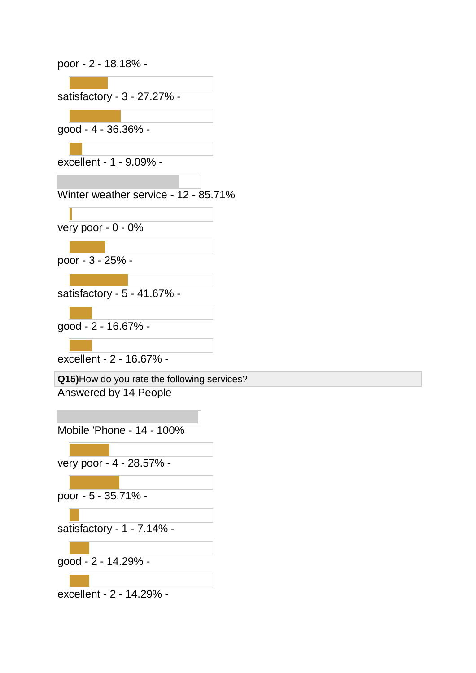| poor - 2 - 18.18% -                                                  |
|----------------------------------------------------------------------|
| satisfactory - 3 - 27.27% -                                          |
| good - 4 - 36.36% -                                                  |
|                                                                      |
| excellent - 1 - 9.09% -                                              |
| Winter weather service - 12 - 85.71%                                 |
| very poor - 0 - 0%                                                   |
| poor - 3 - 25% -                                                     |
| - satisfactory - 5 - 41.67%                                          |
| good - 2 - 16.67% -                                                  |
| excellent - 2 - 16.67% -                                             |
| Q15)How do you rate the following services?<br>Answered by 14 People |
|                                                                      |
| Mobile 'Phone - 14 - 100%                                            |
| very poor - 4 - 28.57% -                                             |
| poor - 5 - 35.71% -                                                  |
| satisfactory - 1 - 7.14% -                                           |
|                                                                      |
| good - 2 - 14.29% -                                                  |

excellent - 2 - 14.29% -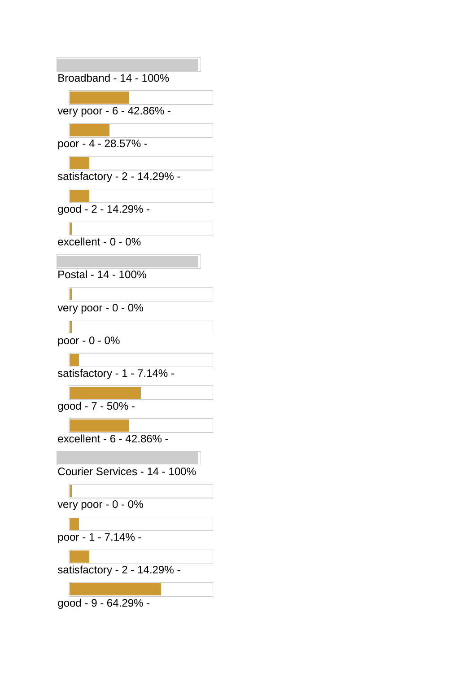| Broadband - 14 - 100%        |
|------------------------------|
|                              |
| very poor - 6 - 42.86% -     |
| poor - 4 - 28.57% -          |
| satisfactory - 2 - 14.29% -  |
| good - 2 - 14.29% -          |
| excellent - $0 - 0\%$        |
| Postal - 14 - 100%           |
| very poor - 0 - 0%           |
| poor - 0 - 0%                |
| satisfactory - 1 - 7.14% -   |
| good - 7 - 50% -             |
| excellent - 6 - 42.86% -     |
| Courier Services - 14 - 100% |
| very poor - 0 - 0%           |
| poor - 1 - 7.14% -           |
| satisfactory - 2 - 14.29% -  |
| good - 9 - 64.29% -          |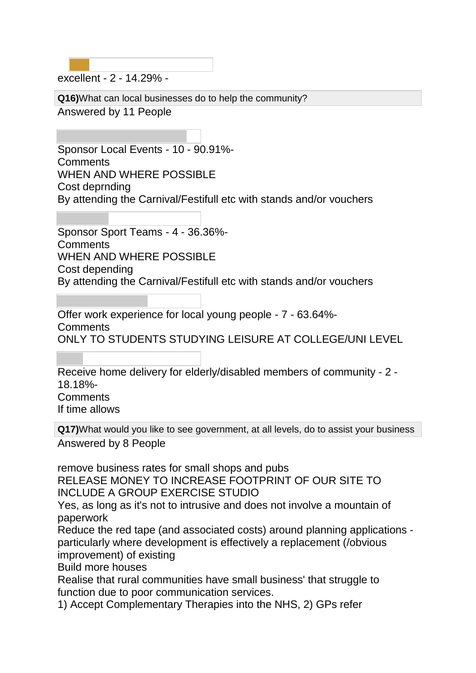excellent - 2 - 14.29% -

**Q16)**What can local businesses do to help the community?

Answered by 11 People

Sponsor Local Events - 10 - 90.91%- **Comments** WHEN AND WHERE POSSIBLE Cost deprnding By attending the Carnival/Festifull etc with stands and/or vouchers

Sponsor Sport Teams - 4 - 36.36%- **Comments** WHEN AND WHERE POSSIBLE Cost depending By attending the Carnival/Festifull etc with stands and/or vouchers

Offer work experience for local young people - 7 - 63.64%- **Comments** ONLY TO STUDENTS STUDYING LEISURE AT COLLEGE/UNI LEVEL

Receive home delivery for elderly/disabled members of community - 2 - 18.18%- **Comments** If time allows

**Q17)**What would you like to see government, at all levels, do to assist your business Answered by 8 People

remove business rates for small shops and pubs

RELEASE MONEY TO INCREASE FOOTPRINT OF OUR SITE TO INCLUDE A GROUP EXERCISE STUDIO

Yes, as long as it's not to intrusive and does not involve a mountain of paperwork

Reduce the red tape (and associated costs) around planning applications particularly where development is effectively a replacement (/obvious improvement) of existing

Build more houses

Realise that rural communities have small business' that struggle to function due to poor communication services.

1) Accept Complementary Therapies into the NHS, 2) GPs refer